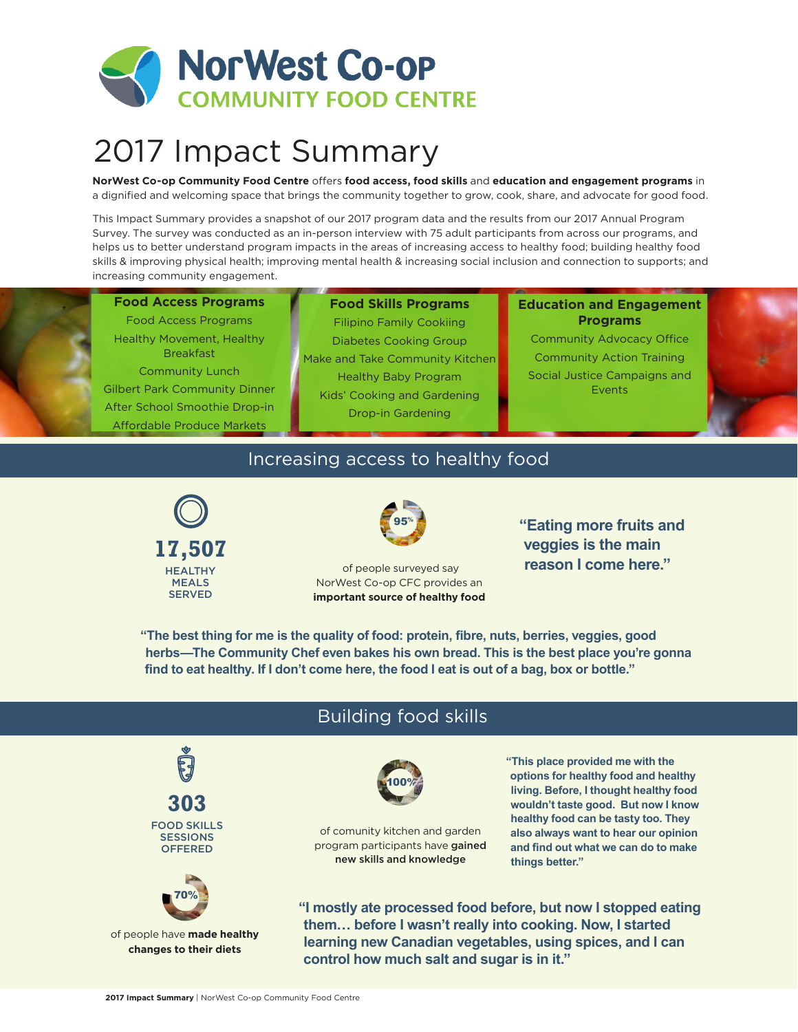

# 2017 Impact Summary

**NorWest Co-op Community Food Centre** offers **food access, food skills** and **education and engagement programs** in a dignified and welcoming space that brings the community together to grow, cook, share, and advocate for good food.

This Impact Summary provides a snapshot of our 2017 program data and the results from our 2017 Annual Program Survey. The survey was conducted as an in-person interview with 75 adult participants from across our programs, and helps us to better understand program impacts in the areas of increasing access to healthy food; building healthy food skills & improving physical health; improving mental health & increasing social inclusion and connection to supports; and increasing community engagement.

#### **Food Access Programs**

Food Access Programs Healthy Movement, Healthy Breakfast Community Lunch Gilbert Park Community Dinner After School Smoothie Drop-in Affordable Produce Markets

**Food Skills Programs** Filipino Family Cookiing Diabetes Cooking Group Make and Take Community Kitchen Healthy Baby Program Kids' Cooking and Gardening Drop-in Gardening

#### **Education and Engagement Programs**

Community Advocacy Office Community Action Training Social Justice Campaigns and Events

#### Increasing access to healthy food





 of people surveyed say NorWest Co-op CFC provides an **important source of healthy food** **"Eating more fruits and veggies is the main reason I come here."**

**"The best thing for me is the quality of food: protein, fibre, nuts, berries, veggies, good herbs—The Community Chef even bakes his own bread. This is the best place you're gonna find to eat healthy. If I don't come here, the food I eat is out of a bag, box or bottle."**

#### of comunity kitchen and garden program participants have gained new skills and knowledge of people have **made healthy changes to their diets** 100% 70% **"I mostly ate processed food before, but now I stopped eating them… before I wasn't really into cooking. Now, I started learning new Canadian vegetables, using spices, and I can control how much salt and sugar is in it." 303** FOOD SKILLS **SESSIONS OFFERED "This place provided me with the options for healthy food and healthy living. Before, I thought healthy food wouldn't taste good. But now I know healthy food can be tasty too. They also always want to hear our opinion and find out what we can do to make things better."**

## Building food skills